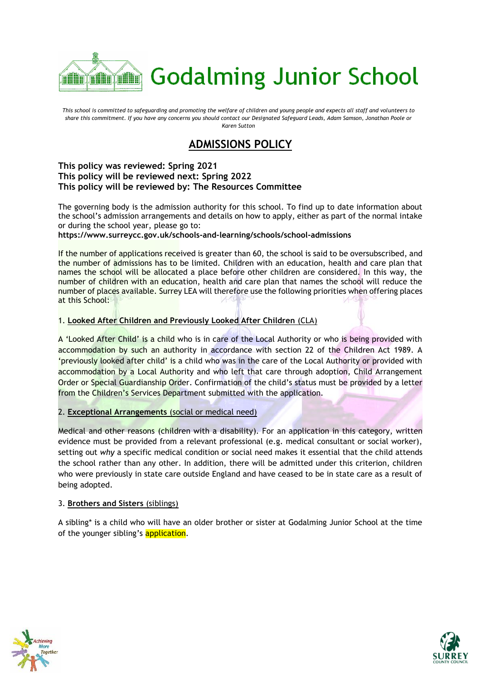

*This school is committed to safeguarding and promoting the welfare of children and young people and expects all staff and volunteers to share this commitment. If you have any concerns you should contact our Designated Safeguard Leads, Adam Samson, Jonathan Poole or Karen Sutton*

# **ADMISSIONS POLICY**

## **This policy was reviewed: Spring 2021 This policy will be reviewed next: Spring 2022 This policy will be reviewed by: The Resources Committee**

The governing body is the admission authority for this school. To find up to date information about the school's admission arrangements and details on how to apply, either as part of the normal intake or during the school year, please go to:

**https://www.surreycc.gov.uk/schools-and-learning/schools/school-admissions**

If the number of applications received is greater than 60, the school is said to be oversubscribed, and the number of admissions has to be limited. Children with an education, health and care plan that names the school will be allocated a place before other children are considered. In this way, the number of children with an education, health and care plan that names the school will reduce the number of places available. Surrey LEA will therefore use the following priorities when offering places at this School:

# 1. **Looked After Children and Previously Looked After Children** (CLA)

A 'Looked After Child' is a child who is in care of the Local Authority or who is being provided with accommodation by such an authority in accordance with section 22 of the Children Act 1989. A 'previously looked after child' is a child who was in the care of the Local Authority or provided with accommodation by a Local Authority and who left that care through adoption, Child Arrangement Order or Special Guardianship Order. Confirmation of the child's status must be provided by a letter from the Children's Services Department submitted with the application.

# 2. **Exceptional Arrangements** (social or medical need)

Medical and other reasons (children with a disability). For an application in this category, written evidence must be provided from a relevant professional (e.g. medical consultant or social worker), setting out *why* a specific medical condition or social need makes it essential that the child attends the school rather than any other. In addition, there will be admitted under this criterion, children who were previously in state care outside England and have ceased to be in state care as a result of being adopted.

# 3. **Brothers and Sisters** (siblings)

A sibling\* is a child who will have an older brother or sister at Godalming Junior School at the time of the younger sibling's application.



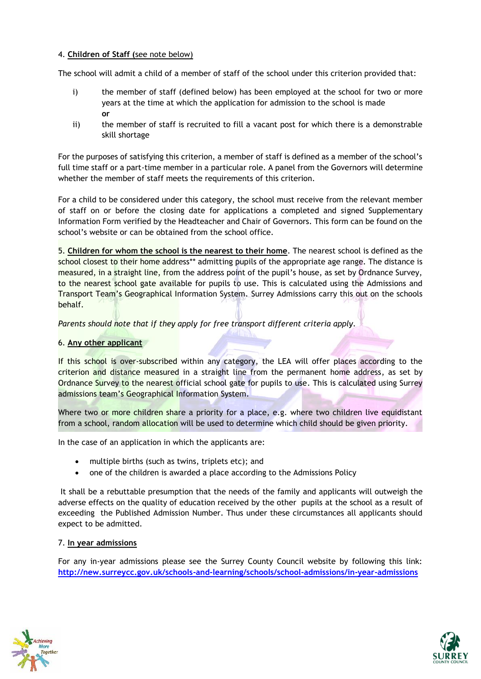# 4. **Children of Staff (**see note below)

The school will admit a child of a member of staff of the school under this criterion provided that:

- i) the member of staff (defined below) has been employed at the school for two or more years at the time at which the application for admission to the school is made **or**
- ii) the member of staff is recruited to fill a vacant post for which there is a demonstrable skill shortage

For the purposes of satisfying this criterion, a member of staff is defined as a member of the school's full time staff or a part-time member in a particular role. A panel from the Governors will determine whether the member of staff meets the requirements of this criterion.

For a child to be considered under this category, the school must receive from the relevant member of staff on or before the closing date for applications a completed and signed Supplementary Information Form verified by the Headteacher and Chair of Governors. This form can be found on the school's website or can be obtained from the school office.

5. **Children for whom the school is the nearest to their home**. The nearest school is defined as the school closest to their home address\*\* admitting pupils of the appropriate age range. The distance is measured, in a straight line, from the address point of the pupil's house, as set by Ordnance Survey, to the nearest school gate available for pupils to use. This is calculated using the Admissions and Transport Team's Geographical Information System. Surrey Admissions carry this out on the schools behalf.

# *Parents should note that if they apply for free transport different criteria apply.*

# 6. **Any other applicant**

If this school is over-subscribed within any category, the LEA will offer places according to the criterion and distance measured in a straight line from the permanent home address, as set by Ordnance Survey to the nearest official school gate for pupils to use. This is calculated using Surrey admissions team's Geographical Information System.

Where two or more children share a priority for a place, e.g. where two children live equidistant from a school, random allocation will be used to determine which child should be given priority.

In the case of an application in which the applicants are:

- multiple births (such as twins, triplets etc); and
- one of the children is awarded a place according to the Admissions Policy

It shall be a rebuttable presumption that the needs of the family and applicants will outweigh the adverse effects on the quality of education received by the other pupils at the school as a result of exceeding the Published Admission Number. Thus under these circumstances all applicants should expect to be admitted.

### 7. **In year admissions**

For any in-year admissions please see the Surrey County Council website by following this link: **<http://new.surreycc.gov.uk/schools-and-learning/schools/school-admissions/in-year-admissions>**